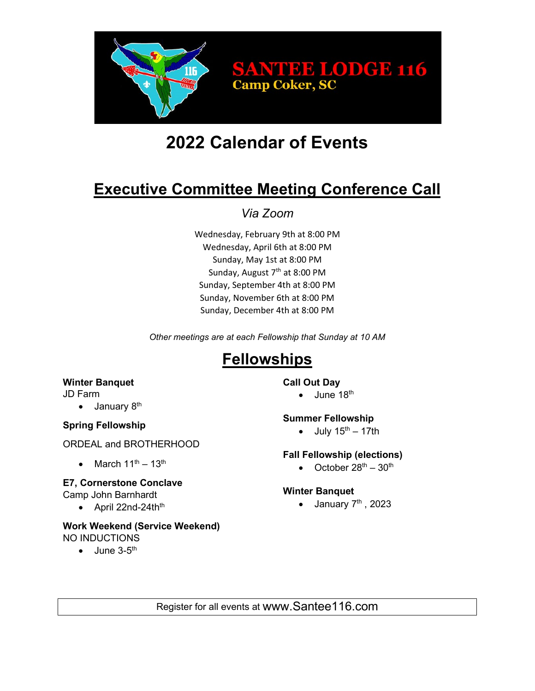

# **2022 Calendar of Events**

# **Executive Committee Meeting Conference Call**

*Via Zoom*

Wednesday, February 9th at 8:00 PM Wednesday, April 6th at 8:00 PM Sunday, May 1st at 8:00 PM Sunday, August 7<sup>th</sup> at 8:00 PM Sunday, September 4th at 8:00 PM Sunday, November 6th at 8:00 PM Sunday, December 4th at 8:00 PM

*Other meetings are at each Fellowship that Sunday at 10 AM*

# **Fellowships**

### **Winter Banquet**

JD Farm

 $\bullet$  January  $8<sup>th</sup>$ 

# **Spring Fellowship**

ORDEAL and BROTHERHOOD

March  $11^{th} - 13^{th}$ 

# **E7, Cornerstone Conclave**

Camp John Barnhardt

• April  $22$ nd- $24$ th<sup>th</sup>

#### **Work Weekend (Service Weekend)** NO INDUCTIONS

 $\bullet$  June 3-5<sup>th</sup>

### **Call Out Day**

 $\bullet$  June 18<sup>th</sup>

### **Summer Fellowship**

• July  $15^{th} - 17th$ 

# **Fall Fellowship (elections)**

• October  $28^{th} - 30^{th}$ 

### **Winter Banquet**

 $\bullet$  January  $7<sup>th</sup>$ , 2023

Register for all events at www.Santee116.com